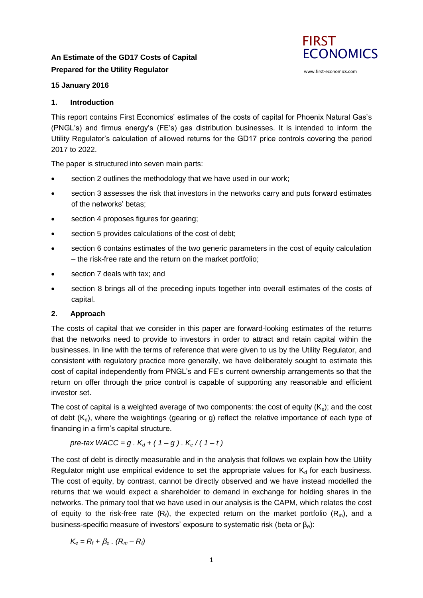# **An Estimate of the GD17 Costs of Capital Prepared for the Utility Regulator**



# **15 January 2016**

# **1. Introduction**

This report contains First Economics' estimates of the costs of capital for Phoenix Natural Gas's (PNGL's) and firmus energy's (FE's) gas distribution businesses. It is intended to inform the Utility Regulator's calculation of allowed returns for the GD17 price controls covering the period 2017 to 2022.

The paper is structured into seven main parts:

- section 2 outlines the methodology that we have used in our work;
- section 3 assesses the risk that investors in the networks carry and puts forward estimates of the networks' betas;
- section 4 proposes figures for gearing;
- section 5 provides calculations of the cost of debt;
- section 6 contains estimates of the two generic parameters in the cost of equity calculation – the risk-free rate and the return on the market portfolio;
- section 7 deals with tax; and
- section 8 brings all of the preceding inputs together into overall estimates of the costs of capital.

# **2. Approach**

The costs of capital that we consider in this paper are forward-looking estimates of the returns that the networks need to provide to investors in order to attract and retain capital within the businesses. In line with the terms of reference that were given to us by the Utility Regulator, and consistent with regulatory practice more generally, we have deliberately sought to estimate this cost of capital independently from PNGL's and FE's current ownership arrangements so that the return on offer through the price control is capable of supporting any reasonable and efficient investor set.

The cost of capital is a weighted average of two components: the cost of equity  $(K_e)$ ; and the cost of debt  $(K_d)$ , where the weightings (gearing or g) reflect the relative importance of each type of financing in a firm's capital structure.

*pre-tax WACC = g .*  $K_d$  *+ ( 1 – g ) .*  $K_e$  */ ( 1 – t )* 

The cost of debt is directly measurable and in the analysis that follows we explain how the Utility Regulator might use empirical evidence to set the appropriate values for  $K_d$  for each business. The cost of equity, by contrast, cannot be directly observed and we have instead modelled the returns that we would expect a shareholder to demand in exchange for holding shares in the networks. The primary tool that we have used in our analysis is the CAPM, which relates the cost of equity to the risk-free rate  $(R_f)$ , the expected return on the market portfolio  $(R_m)$ , and a business-specific measure of investors' exposure to systematic risk (beta or β<sub>e</sub>):

$$
K_{\rm e}=R_{\rm f}+\beta_{\rm e}\cdot(R_{\rm m}-R_{\rm f})
$$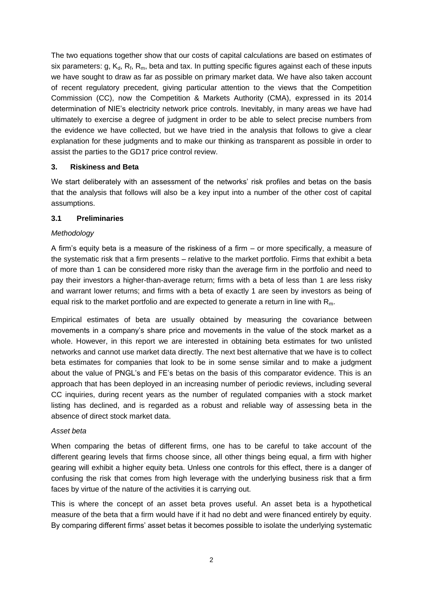The two equations together show that our costs of capital calculations are based on estimates of six parameters: g,  $K_d$ ,  $R_f$ ,  $R_m$ , beta and tax. In putting specific figures against each of these inputs we have sought to draw as far as possible on primary market data. We have also taken account of recent regulatory precedent, giving particular attention to the views that the Competition Commission (CC), now the Competition & Markets Authority (CMA), expressed in its 2014 determination of NIE's electricity network price controls. Inevitably, in many areas we have had ultimately to exercise a degree of judgment in order to be able to select precise numbers from the evidence we have collected, but we have tried in the analysis that follows to give a clear explanation for these judgments and to make our thinking as transparent as possible in order to assist the parties to the GD17 price control review.

# **3. Riskiness and Beta**

We start deliberately with an assessment of the networks' risk profiles and betas on the basis that the analysis that follows will also be a key input into a number of the other cost of capital assumptions.

#### **3.1 Preliminaries**

#### *Methodology*

A firm's equity beta is a measure of the riskiness of a firm – or more specifically, a measure of the systematic risk that a firm presents – relative to the market portfolio. Firms that exhibit a beta of more than 1 can be considered more risky than the average firm in the portfolio and need to pay their investors a higher-than-average return; firms with a beta of less than 1 are less risky and warrant lower returns; and firms with a beta of exactly 1 are seen by investors as being of equal risk to the market portfolio and are expected to generate a return in line with  $R_m$ .

Empirical estimates of beta are usually obtained by measuring the covariance between movements in a company's share price and movements in the value of the stock market as a whole. However, in this report we are interested in obtaining beta estimates for two unlisted networks and cannot use market data directly. The next best alternative that we have is to collect beta estimates for companies that look to be in some sense similar and to make a judgment about the value of PNGL's and FE's betas on the basis of this comparator evidence. This is an approach that has been deployed in an increasing number of periodic reviews, including several CC inquiries, during recent years as the number of regulated companies with a stock market listing has declined, and is regarded as a robust and reliable way of assessing beta in the absence of direct stock market data.

#### *Asset beta*

When comparing the betas of different firms, one has to be careful to take account of the different gearing levels that firms choose since, all other things being equal, a firm with higher gearing will exhibit a higher equity beta. Unless one controls for this effect, there is a danger of confusing the risk that comes from high leverage with the underlying business risk that a firm faces by virtue of the nature of the activities it is carrying out.

This is where the concept of an asset beta proves useful. An asset beta is a hypothetical measure of the beta that a firm would have if it had no debt and were financed entirely by equity. By comparing different firms' asset betas it becomes possible to isolate the underlying systematic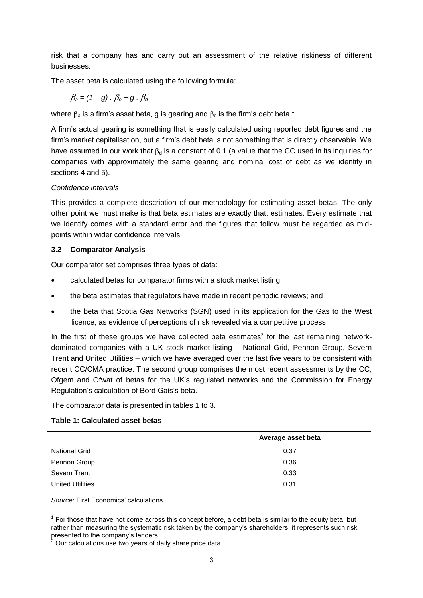risk that a company has and carry out an assessment of the relative riskiness of different businesses.

The asset beta is calculated using the following formula:

$$
\beta_a = (1-g) \cdot \beta_e + g \cdot \beta_d
$$

where  $\beta_a$  is a firm's asset beta, g is gearing and  $\beta_d$  is the firm's debt beta.<sup>1</sup>

A firm's actual gearing is something that is easily calculated using reported debt figures and the firm's market capitalisation, but a firm's debt beta is not something that is directly observable. We have assumed in our work that  $\beta_d$  is a constant of 0.1 (a value that the CC used in its inquiries for companies with approximately the same gearing and nominal cost of debt as we identify in sections 4 and 5).

# *Confidence intervals*

This provides a complete description of our methodology for estimating asset betas. The only other point we must make is that beta estimates are exactly that: estimates. Every estimate that we identify comes with a standard error and the figures that follow must be regarded as midpoints within wider confidence intervals.

# **3.2 Comparator Analysis**

Our comparator set comprises three types of data:

- calculated betas for comparator firms with a stock market listing;
- the beta estimates that regulators have made in recent periodic reviews; and
- the beta that Scotia Gas Networks (SGN) used in its application for the Gas to the West licence, as evidence of perceptions of risk revealed via a competitive process.

In the first of these groups we have collected beta estimates<sup>2</sup> for the last remaining networkdominated companies with a UK stock market listing – National Grid, Pennon Group, Severn Trent and United Utilities – which we have averaged over the last five years to be consistent with recent CC/CMA practice. The second group comprises the most recent assessments by the CC, Ofgem and Ofwat of betas for the UK's regulated networks and the Commission for Energy Regulation's calculation of Bord Gais's beta.

The comparator data is presented in tables 1 to 3.

# **Table 1: Calculated asset betas**

|                         | Average asset beta |
|-------------------------|--------------------|
| <b>National Grid</b>    | 0.37               |
| Pennon Group            | 0.36               |
| Severn Trent            | 0.33               |
| <b>United Utilities</b> | 0.31               |

*Source*: First Economics' calculations.

-

 $1$  For those that have not come across this concept before, a debt beta is similar to the equity beta, but rather than measuring the systematic risk taken by the company's shareholders, it represents such risk presented to the company's lenders.

<sup>2</sup> Our calculations use two years of daily share price data.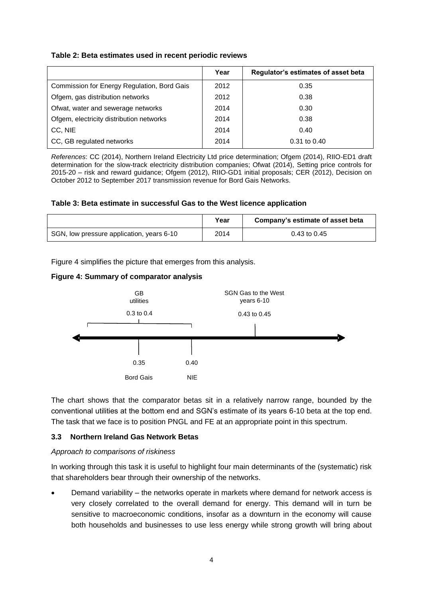# **Table 2: Beta estimates used in recent periodic reviews**

|                                             | Year | Regulator's estimates of asset beta |
|---------------------------------------------|------|-------------------------------------|
| Commission for Energy Regulation, Bord Gais | 2012 | 0.35                                |
| Ofgem, gas distribution networks            | 2012 | 0.38                                |
| Ofwat, water and sewerage networks          | 2014 | 0.30                                |
| Ofgem, electricity distribution networks    | 2014 | 0.38                                |
| CC, NIE                                     | 2014 | 0.40                                |
| CC, GB regulated networks                   | 2014 | 0.31 to 0.40                        |

*References*: CC (2014), Northern Ireland Electricity Ltd price determination; Ofgem (2014), RIIO-ED1 draft determination for the slow-track electricity distribution companies; Ofwat (2014), Setting price controls for 2015-20 – risk and reward guidance; Ofgem (2012), RIIO-GD1 initial proposals; CER (2012), Decision on October 2012 to September 2017 transmission revenue for Bord Gais Networks.

#### **Table 3: Beta estimate in successful Gas to the West licence application**

|                                           | Year | Company's estimate of asset beta |
|-------------------------------------------|------|----------------------------------|
| SGN, low pressure application, years 6-10 | 2014 | 0.43 to 0.45                     |

Figure 4 simplifies the picture that emerges from this analysis.

#### **Figure 4: Summary of comparator analysis**



The chart shows that the comparator betas sit in a relatively narrow range, bounded by the conventional utilities at the bottom end and SGN's estimate of its years 6-10 beta at the top end. The task that we face is to position PNGL and FE at an appropriate point in this spectrum.

#### **3.3 Northern Ireland Gas Network Betas**

#### *Approach to comparisons of riskiness*

In working through this task it is useful to highlight four main determinants of the (systematic) risk that shareholders bear through their ownership of the networks.

 Demand variability – the networks operate in markets where demand for network access is very closely correlated to the overall demand for energy. This demand will in turn be sensitive to macroeconomic conditions, insofar as a downturn in the economy will cause both households and businesses to use less energy while strong growth will bring about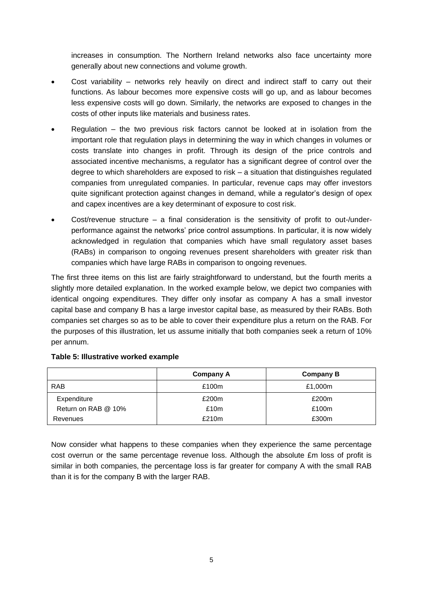increases in consumption. The Northern Ireland networks also face uncertainty more generally about new connections and volume growth.

- Cost variability networks rely heavily on direct and indirect staff to carry out their functions. As labour becomes more expensive costs will go up, and as labour becomes less expensive costs will go down. Similarly, the networks are exposed to changes in the costs of other inputs like materials and business rates.
- Regulation the two previous risk factors cannot be looked at in isolation from the important role that regulation plays in determining the way in which changes in volumes or costs translate into changes in profit. Through its design of the price controls and associated incentive mechanisms, a regulator has a significant degree of control over the degree to which shareholders are exposed to risk – a situation that distinguishes regulated companies from unregulated companies. In particular, revenue caps may offer investors quite significant protection against changes in demand, while a regulator's design of opex and capex incentives are a key determinant of exposure to cost risk.
- Cost/revenue structure  $-$  a final consideration is the sensitivity of profit to out-/underperformance against the networks' price control assumptions. In particular, it is now widely acknowledged in regulation that companies which have small regulatory asset bases (RABs) in comparison to ongoing revenues present shareholders with greater risk than companies which have large RABs in comparison to ongoing revenues.

The first three items on this list are fairly straightforward to understand, but the fourth merits a slightly more detailed explanation. In the worked example below, we depict two companies with identical ongoing expenditures. They differ only insofar as company A has a small investor capital base and company B has a large investor capital base, as measured by their RABs. Both companies set charges so as to be able to cover their expenditure plus a return on the RAB. For the purposes of this illustration, let us assume initially that both companies seek a return of 10% per annum.

|                     | Company A | <b>Company B</b> |
|---------------------|-----------|------------------|
| <b>RAB</b>          | £100m     | £1,000m          |
| Expenditure         | £200m     | £200m            |
| Return on RAB @ 10% | £10m      | £100m            |
| Revenues            | £210m     | £300m            |

# **Table 5: Illustrative worked example**

Now consider what happens to these companies when they experience the same percentage cost overrun or the same percentage revenue loss. Although the absolute £m loss of profit is similar in both companies, the percentage loss is far greater for company A with the small RAB than it is for the company B with the larger RAB.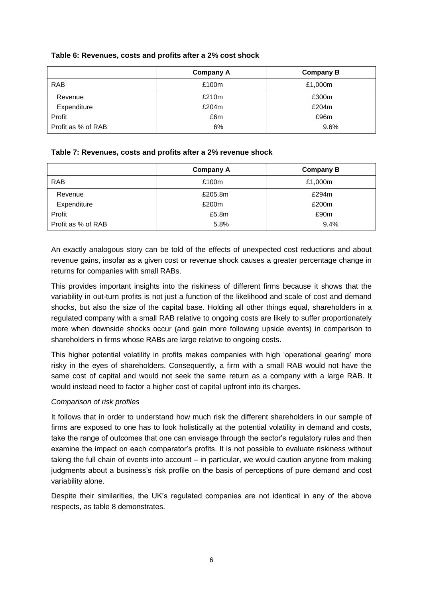| Table 6: Revenues, costs and profits after a 2% cost shock |  |  |  |
|------------------------------------------------------------|--|--|--|
|------------------------------------------------------------|--|--|--|

|                    | Company A | <b>Company B</b> |
|--------------------|-----------|------------------|
| <b>RAB</b>         | £100m     | £1,000m          |
| Revenue            | £210m     | £300m            |
| Expenditure        | £204m     | £204m            |
| Profit             | £6m       | £96m             |
| Profit as % of RAB | 6%        | 9.6%             |

# **Table 7: Revenues, costs and profits after a 2% revenue shock**

|                    | Company A | <b>Company B</b> |
|--------------------|-----------|------------------|
| <b>RAB</b>         | £100m     | £1,000m          |
| Revenue            | £205.8m   | £294m            |
| Expenditure        | £200m     | £200m            |
| Profit             | £5.8m     | £90m             |
| Profit as % of RAB | 5.8%      | 9.4%             |

An exactly analogous story can be told of the effects of unexpected cost reductions and about revenue gains, insofar as a given cost or revenue shock causes a greater percentage change in returns for companies with small RABs.

This provides important insights into the riskiness of different firms because it shows that the variability in out-turn profits is not just a function of the likelihood and scale of cost and demand shocks, but also the size of the capital base. Holding all other things equal, shareholders in a regulated company with a small RAB relative to ongoing costs are likely to suffer proportionately more when downside shocks occur (and gain more following upside events) in comparison to shareholders in firms whose RABs are large relative to ongoing costs.

This higher potential volatility in profits makes companies with high 'operational gearing' more risky in the eyes of shareholders. Consequently, a firm with a small RAB would not have the same cost of capital and would not seek the same return as a company with a large RAB. It would instead need to factor a higher cost of capital upfront into its charges.

#### *Comparison of risk profiles*

It follows that in order to understand how much risk the different shareholders in our sample of firms are exposed to one has to look holistically at the potential volatility in demand and costs, take the range of outcomes that one can envisage through the sector's regulatory rules and then examine the impact on each comparator's profits. It is not possible to evaluate riskiness without taking the full chain of events into account – in particular, we would caution anyone from making judgments about a business's risk profile on the basis of perceptions of pure demand and cost variability alone.

Despite their similarities, the UK's regulated companies are not identical in any of the above respects, as table 8 demonstrates.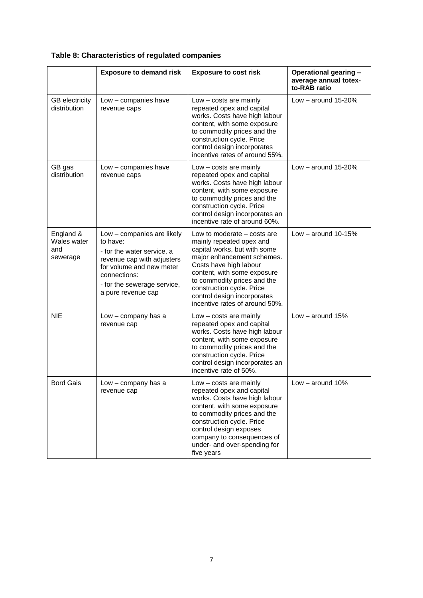# **Table 8: Characteristics of regulated companies**

|                                             | <b>Exposure to demand risk</b>                                                                                                                                                                      | <b>Exposure to cost risk</b>                                                                                                                                                                                                                                                                                | Operational gearing -<br>average annual totex-<br>to-RAB ratio |
|---------------------------------------------|-----------------------------------------------------------------------------------------------------------------------------------------------------------------------------------------------------|-------------------------------------------------------------------------------------------------------------------------------------------------------------------------------------------------------------------------------------------------------------------------------------------------------------|----------------------------------------------------------------|
| <b>GB</b> electricity<br>distribution       | Low - companies have<br>revenue caps                                                                                                                                                                | Low - costs are mainly<br>repeated opex and capital<br>works. Costs have high labour<br>content, with some exposure<br>to commodity prices and the<br>construction cycle. Price<br>control design incorporates<br>incentive rates of around 55%.                                                            | Low $-$ around 15-20%                                          |
| GB gas<br>distribution                      | Low - companies have<br>revenue caps                                                                                                                                                                | Low - costs are mainly<br>repeated opex and capital<br>works. Costs have high labour<br>content, with some exposure<br>to commodity prices and the<br>construction cycle. Price<br>control design incorporates an<br>incentive rate of around 60%.                                                          | Low $-$ around 15-20%                                          |
| England &<br>Wales water<br>and<br>sewerage | Low - companies are likely<br>to have:<br>- for the water service, a<br>revenue cap with adjusters<br>for volume and new meter<br>connections:<br>- for the sewerage service,<br>a pure revenue cap | Low to moderate - costs are<br>mainly repeated opex and<br>capital works, but with some<br>major enhancement schemes.<br>Costs have high labour<br>content, with some exposure<br>to commodity prices and the<br>construction cycle. Price<br>control design incorporates<br>incentive rates of around 50%. | Low $-$ around 10-15%                                          |
| <b>NIE</b>                                  | Low - company has a<br>revenue cap                                                                                                                                                                  | $Low - costs are mainly$<br>repeated opex and capital<br>works. Costs have high labour<br>content, with some exposure<br>to commodity prices and the<br>construction cycle. Price<br>control design incorporates an<br>incentive rate of 50%.                                                               | Low $-$ around 15%                                             |
| <b>Bord Gais</b>                            | Low - company has a<br>revenue cap                                                                                                                                                                  | $Low - costs are mainly$<br>repeated opex and capital<br>works. Costs have high labour<br>content, with some exposure<br>to commodity prices and the<br>construction cycle. Price<br>control design exposes<br>company to consequences of<br>under- and over-spending for<br>five years                     | Low - around 10%                                               |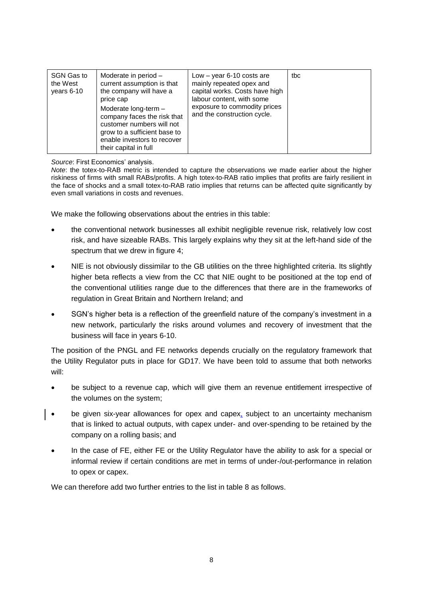| SGN Gas to<br>Moderate in period -<br>current assumption is that<br>the West<br>the company will have a<br>years 6-10<br>price cap<br>Moderate long-term -<br>company faces the risk that<br>customer numbers will not<br>grow to a sufficient base to<br>enable investors to recover<br>their capital in full | Low $-$ year 6-10 costs are<br>mainly repeated opex and<br>capital works. Costs have high<br>labour content, with some<br>exposure to commodity prices<br>and the construction cycle. | tbc |
|----------------------------------------------------------------------------------------------------------------------------------------------------------------------------------------------------------------------------------------------------------------------------------------------------------------|---------------------------------------------------------------------------------------------------------------------------------------------------------------------------------------|-----|
|----------------------------------------------------------------------------------------------------------------------------------------------------------------------------------------------------------------------------------------------------------------------------------------------------------------|---------------------------------------------------------------------------------------------------------------------------------------------------------------------------------------|-----|

*Source*: First Economics' analysis.

*Note*: the totex-to-RAB metric is intended to capture the observations we made earlier about the higher riskiness of firms with small RABs/profits. A high totex-to-RAB ratio implies that profits are fairly resilient in the face of shocks and a small totex-to-RAB ratio implies that returns can be affected quite significantly by even small variations in costs and revenues.

We make the following observations about the entries in this table:

- the conventional network businesses all exhibit negligible revenue risk, relatively low cost risk, and have sizeable RABs. This largely explains why they sit at the left-hand side of the spectrum that we drew in figure 4;
- NIE is not obviously dissimilar to the GB utilities on the three highlighted criteria. Its slightly higher beta reflects a view from the CC that NIE ought to be positioned at the top end of the conventional utilities range due to the differences that there are in the frameworks of regulation in Great Britain and Northern Ireland; and
- SGN's higher beta is a reflection of the greenfield nature of the company's investment in a new network, particularly the risks around volumes and recovery of investment that the business will face in years 6-10.

The position of the PNGL and FE networks depends crucially on the regulatory framework that the Utility Regulator puts in place for GD17. We have been told to assume that both networks will:

- be subject to a revenue cap, which will give them an revenue entitlement irrespective of the volumes on the system;
- be given six-year allowances for opex and capex, subject to an uncertainty mechanism that is linked to actual outputs, with capex under- and over-spending to be retained by the company on a rolling basis; and
- In the case of FE, either FE or the Utility Regulator have the ability to ask for a special or informal review if certain conditions are met in terms of under-/out-performance in relation to opex or capex.

We can therefore add two further entries to the list in table 8 as follows.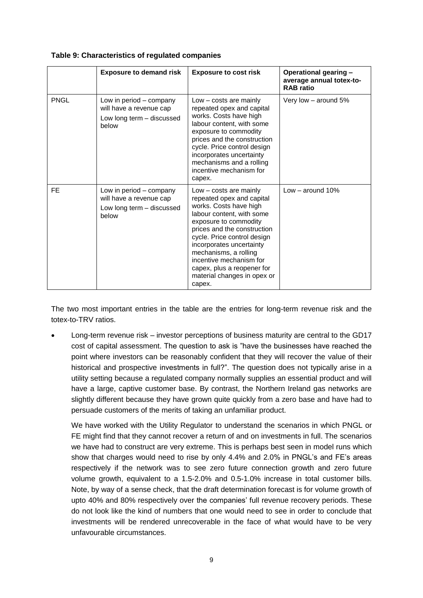|             | <b>Exposure to demand risk</b>                                                           | <b>Exposure to cost risk</b>                                                                                                                                                                                                                                                                                                                             | Operational gearing -<br>average annual totex-to-<br><b>RAB</b> ratio |
|-------------|------------------------------------------------------------------------------------------|----------------------------------------------------------------------------------------------------------------------------------------------------------------------------------------------------------------------------------------------------------------------------------------------------------------------------------------------------------|-----------------------------------------------------------------------|
| <b>PNGL</b> | Low in period – company<br>will have a revenue cap<br>Low long term - discussed<br>below | Low - costs are mainly<br>repeated opex and capital<br>works. Costs have high<br>labour content, with some<br>exposure to commodity<br>prices and the construction<br>cycle. Price control design<br>incorporates uncertainty<br>mechanisms and a rolling<br>incentive mechanism for<br>capex.                                                           | Very low - around 5%                                                  |
| FE          | Low in period – company<br>will have a revenue cap<br>Low long term - discussed<br>below | Low - costs are mainly<br>repeated opex and capital<br>works. Costs have high<br>labour content, with some<br>exposure to commodity<br>prices and the construction<br>cycle. Price control design<br>incorporates uncertainty<br>mechanisms, a rolling<br>incentive mechanism for<br>capex, plus a reopener for<br>material changes in opex or<br>capex. | Low $-$ around 10%                                                    |

**Table 9: Characteristics of regulated companies** 

The two most important entries in the table are the entries for long-term revenue risk and the totex-to-TRV ratios.

 Long-term revenue risk – investor perceptions of business maturity are central to the GD17 cost of capital assessment. The question to ask is "have the businesses have reached the point where investors can be reasonably confident that they will recover the value of their historical and prospective investments in full?". The question does not typically arise in a utility setting because a regulated company normally supplies an essential product and will have a large, captive customer base. By contrast, the Northern Ireland gas networks are slightly different because they have grown quite quickly from a zero base and have had to persuade customers of the merits of taking an unfamiliar product.

We have worked with the Utility Regulator to understand the scenarios in which PNGL or FE might find that they cannot recover a return of and on investments in full. The scenarios we have had to construct are very extreme. This is perhaps best seen in model runs which show that charges would need to rise by only 4.4% and 2.0% in PNGL's and FE's areas respectively if the network was to see zero future connection growth and zero future volume growth, equivalent to a 1.5-2.0% and 0.5-1.0% increase in total customer bills. Note, by way of a sense check, that the draft determination forecast is for volume growth of upto 40% and 80% respectively over the companies' full revenue recovery periods. These do not look like the kind of numbers that one would need to see in order to conclude that investments will be rendered unrecoverable in the face of what would have to be very unfavourable circumstances.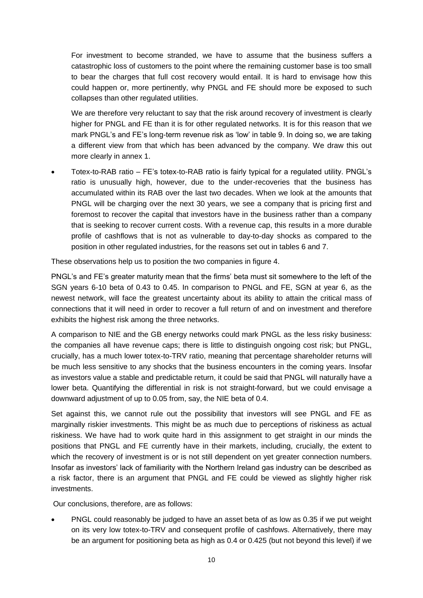For investment to become stranded, we have to assume that the business suffers a catastrophic loss of customers to the point where the remaining customer base is too small to bear the charges that full cost recovery would entail. It is hard to envisage how this could happen or, more pertinently, why PNGL and FE should more be exposed to such collapses than other regulated utilities.

We are therefore very reluctant to say that the risk around recovery of investment is clearly higher for PNGL and FE than it is for other regulated networks. It is for this reason that we mark PNGL's and FE's long-term revenue risk as 'low' in table 9. In doing so, we are taking a different view from that which has been advanced by the company. We draw this out more clearly in annex 1.

 Totex-to-RAB ratio – FE's totex-to-RAB ratio is fairly typical for a regulated utility. PNGL's ratio is unusually high, however, due to the under-recoveries that the business has accumulated within its RAB over the last two decades. When we look at the amounts that PNGL will be charging over the next 30 years, we see a company that is pricing first and foremost to recover the capital that investors have in the business rather than a company that is seeking to recover current costs. With a revenue cap, this results in a more durable profile of cashflows that is not as vulnerable to day-to-day shocks as compared to the position in other regulated industries, for the reasons set out in tables 6 and 7.

These observations help us to position the two companies in figure 4.

PNGL's and FE's greater maturity mean that the firms' beta must sit somewhere to the left of the SGN years 6-10 beta of 0.43 to 0.45. In comparison to PNGL and FE, SGN at year 6, as the newest network, will face the greatest uncertainty about its ability to attain the critical mass of connections that it will need in order to recover a full return of and on investment and therefore exhibits the highest risk among the three networks.

A comparison to NIE and the GB energy networks could mark PNGL as the less risky business: the companies all have revenue caps; there is little to distinguish ongoing cost risk; but PNGL, crucially, has a much lower totex-to-TRV ratio, meaning that percentage shareholder returns will be much less sensitive to any shocks that the business encounters in the coming years. Insofar as investors value a stable and predictable return, it could be said that PNGL will naturally have a lower beta. Quantifying the differential in risk is not straight-forward, but we could envisage a downward adjustment of up to 0.05 from, say, the NIE beta of 0.4.

Set against this, we cannot rule out the possibility that investors will see PNGL and FE as marginally riskier investments. This might be as much due to perceptions of riskiness as actual riskiness. We have had to work quite hard in this assignment to get straight in our minds the positions that PNGL and FE currently have in their markets, including, crucially, the extent to which the recovery of investment is or is not still dependent on yet greater connection numbers. Insofar as investors' lack of familiarity with the Northern Ireland gas industry can be described as a risk factor, there is an argument that PNGL and FE could be viewed as slightly higher risk investments.

Our conclusions, therefore, are as follows:

 PNGL could reasonably be judged to have an asset beta of as low as 0.35 if we put weight on its very low totex-to-TRV and consequent profile of cashfows. Alternatively, there may be an argument for positioning beta as high as 0.4 or 0.425 (but not beyond this level) if we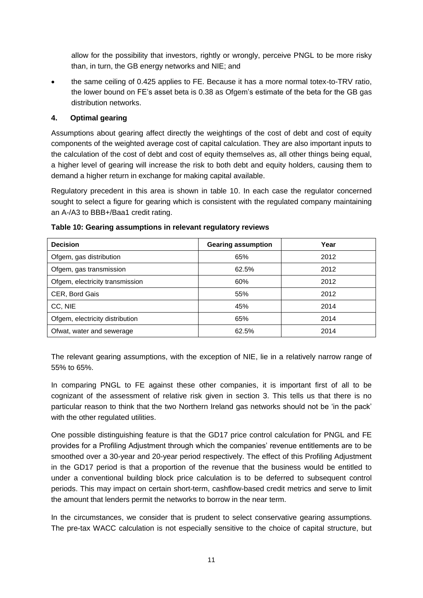allow for the possibility that investors, rightly or wrongly, perceive PNGL to be more risky than, in turn, the GB energy networks and NIE; and

 the same ceiling of 0.425 applies to FE. Because it has a more normal totex-to-TRV ratio, the lower bound on FE's asset beta is 0.38 as Ofgem's estimate of the beta for the GB gas distribution networks.

# **4. Optimal gearing**

Assumptions about gearing affect directly the weightings of the cost of debt and cost of equity components of the weighted average cost of capital calculation. They are also important inputs to the calculation of the cost of debt and cost of equity themselves as, all other things being equal, a higher level of gearing will increase the risk to both debt and equity holders, causing them to demand a higher return in exchange for making capital available.

Regulatory precedent in this area is shown in table 10. In each case the regulator concerned sought to select a figure for gearing which is consistent with the regulated company maintaining an A-/A3 to BBB+/Baa1 credit rating.

| <b>Decision</b>                 | <b>Gearing assumption</b> | Year |
|---------------------------------|---------------------------|------|
| Ofgem, gas distribution         | 65%                       | 2012 |
| Ofgem, gas transmission         | 62.5%                     | 2012 |
| Ofgem, electricity transmission | 60%                       | 2012 |
| CER, Bord Gais                  | 55%                       | 2012 |
| CC, NIE                         | 45%                       | 2014 |
| Ofgem, electricity distribution | 65%                       | 2014 |
| Ofwat, water and sewerage       | 62.5%                     | 2014 |

**Table 10: Gearing assumptions in relevant regulatory reviews**

The relevant gearing assumptions, with the exception of NIE, lie in a relatively narrow range of 55% to 65%.

In comparing PNGL to FE against these other companies, it is important first of all to be cognizant of the assessment of relative risk given in section 3. This tells us that there is no particular reason to think that the two Northern Ireland gas networks should not be 'in the pack' with the other regulated utilities.

One possible distinguishing feature is that the GD17 price control calculation for PNGL and FE provides for a Profiling Adjustment through which the companies' revenue entitlements are to be smoothed over a 30-year and 20-year period respectively. The effect of this Profiling Adjustment in the GD17 period is that a proportion of the revenue that the business would be entitled to under a conventional building block price calculation is to be deferred to subsequent control periods. This may impact on certain short-term, cashflow-based credit metrics and serve to limit the amount that lenders permit the networks to borrow in the near term.

In the circumstances, we consider that is prudent to select conservative gearing assumptions. The pre-tax WACC calculation is not especially sensitive to the choice of capital structure, but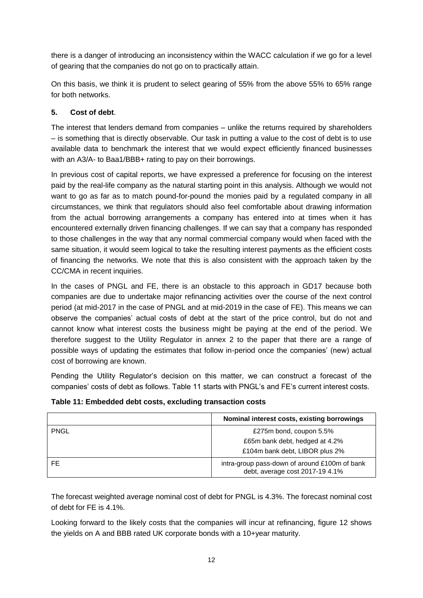there is a danger of introducing an inconsistency within the WACC calculation if we go for a level of gearing that the companies do not go on to practically attain.

On this basis, we think it is prudent to select gearing of 55% from the above 55% to 65% range for both networks.

# **5. Cost of debt**.

The interest that lenders demand from companies – unlike the returns required by shareholders – is something that is directly observable. Our task in putting a value to the cost of debt is to use available data to benchmark the interest that we would expect efficiently financed businesses with an A3/A- to Baa1/BBB+ rating to pay on their borrowings.

In previous cost of capital reports, we have expressed a preference for focusing on the interest paid by the real-life company as the natural starting point in this analysis. Although we would not want to go as far as to match pound-for-pound the monies paid by a regulated company in all circumstances, we think that regulators should also feel comfortable about drawing information from the actual borrowing arrangements a company has entered into at times when it has encountered externally driven financing challenges. If we can say that a company has responded to those challenges in the way that any normal commercial company would when faced with the same situation, it would seem logical to take the resulting interest payments as the efficient costs of financing the networks. We note that this is also consistent with the approach taken by the CC/CMA in recent inquiries.

In the cases of PNGL and FE, there is an obstacle to this approach in GD17 because both companies are due to undertake major refinancing activities over the course of the next control period (at mid-2017 in the case of PNGL and at mid-2019 in the case of FE). This means we can observe the companies' actual costs of debt at the start of the price control, but do not and cannot know what interest costs the business might be paying at the end of the period. We therefore suggest to the Utility Regulator in annex 2 to the paper that there are a range of possible ways of updating the estimates that follow in-period once the companies' (new) actual cost of borrowing are known.

Pending the Utility Regulator's decision on this matter, we can construct a forecast of the companies' costs of debt as follows. Table 11 starts with PNGL's and FE's current interest costs.

|             | Nominal interest costs, existing borrowings                                      |
|-------------|----------------------------------------------------------------------------------|
| <b>PNGL</b> | £275m bond, coupon 5.5%                                                          |
|             | £65m bank debt, hedged at 4.2%                                                   |
|             | £104m bank debt, LIBOR plus 2%                                                   |
| FE          | intra-group pass-down of around £100m of bank<br>debt, average cost 2017-19 4.1% |

# **Table 11: Embedded debt costs, excluding transaction costs**

The forecast weighted average nominal cost of debt for PNGL is 4.3%. The forecast nominal cost of debt for FE is 4.1%.

Looking forward to the likely costs that the companies will incur at refinancing, figure 12 shows the yields on A and BBB rated UK corporate bonds with a 10+year maturity.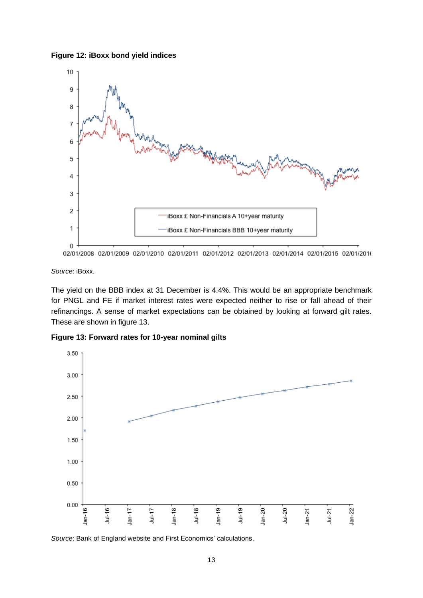**Figure 12: iBoxx bond yield indices**



02/01/2008 02/01/2009 02/01/2010 02/01/2011 02/01/2012 02/01/2013 02/01/2014 02/01/2015 02/01/2016

*Source*: iBoxx.

The yield on the BBB index at 31 December is 4.4%. This would be an appropriate benchmark for PNGL and FE if market interest rates were expected neither to rise or fall ahead of their refinancings. A sense of market expectations can be obtained by looking at forward gilt rates. These are shown in figure 13.

**Figure 13: Forward rates for 10-year nominal gilts**



*Source*: Bank of England website and First Economics' calculations.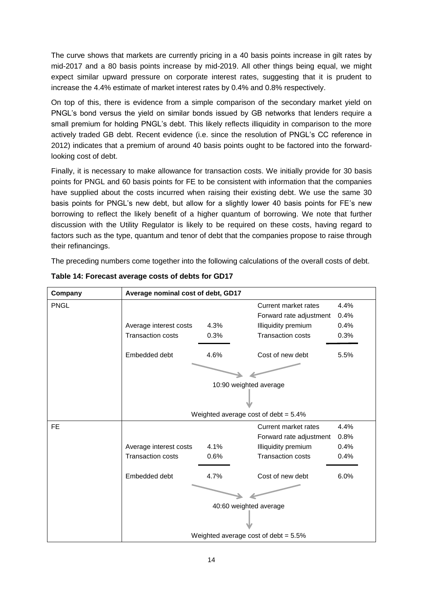The curve shows that markets are currently pricing in a 40 basis points increase in gilt rates by mid-2017 and a 80 basis points increase by mid-2019. All other things being equal, we might expect similar upward pressure on corporate interest rates, suggesting that it is prudent to increase the 4.4% estimate of market interest rates by 0.4% and 0.8% respectively.

On top of this, there is evidence from a simple comparison of the secondary market yield on PNGL's bond versus the yield on similar bonds issued by GB networks that lenders require a small premium for holding PNGL's debt. This likely reflects illiquidity in comparison to the more actively traded GB debt. Recent evidence (i.e. since the resolution of PNGL's CC reference in 2012) indicates that a premium of around 40 basis points ought to be factored into the forwardlooking cost of debt.

Finally, it is necessary to make allowance for transaction costs. We initially provide for 30 basis points for PNGL and 60 basis points for FE to be consistent with information that the companies have supplied about the costs incurred when raising their existing debt. We use the same 30 basis points for PNGL's new debt, but allow for a slightly lower 40 basis points for FE's new borrowing to reflect the likely benefit of a higher quantum of borrowing. We note that further discussion with the Utility Regulator is likely to be required on these costs, having regard to factors such as the type, quantum and tenor of debt that the companies propose to raise through their refinancings.

The preceding numbers come together into the following calculations of the overall costs of debt.

| Company     | Average nominal cost of debt, GD17      |      |                          |      |  |
|-------------|-----------------------------------------|------|--------------------------|------|--|
| <b>PNGL</b> |                                         |      | Current market rates     | 4.4% |  |
|             |                                         |      | Forward rate adjustment  | 0.4% |  |
|             | Average interest costs                  | 4.3% | Illiquidity premium      | 0.4% |  |
|             | <b>Transaction costs</b>                | 0.3% | <b>Transaction costs</b> | 0.3% |  |
|             | Embedded debt                           | 4.6% | Cost of new debt         | 5.5% |  |
|             |                                         |      |                          |      |  |
|             | 10:90 weighted average                  |      |                          |      |  |
|             |                                         |      |                          |      |  |
|             | Weighted average cost of debt = $5.4\%$ |      |                          |      |  |
| FE.         |                                         |      | Current market rates     | 4.4% |  |
|             |                                         |      | Forward rate adjustment  | 0.8% |  |
|             | Average interest costs                  | 4.1% | Illiquidity premium      | 0.4% |  |
|             | <b>Transaction costs</b>                | 0.6% | <b>Transaction costs</b> | 0.4% |  |
|             | Embedded debt                           | 4.7% | Cost of new debt         | 6.0% |  |
|             |                                         |      |                          |      |  |
|             | 40:60 weighted average                  |      |                          |      |  |
|             |                                         |      |                          |      |  |
|             | Weighted average cost of debt = $5.5\%$ |      |                          |      |  |

**Table 14: Forecast average costs of debts for GD17**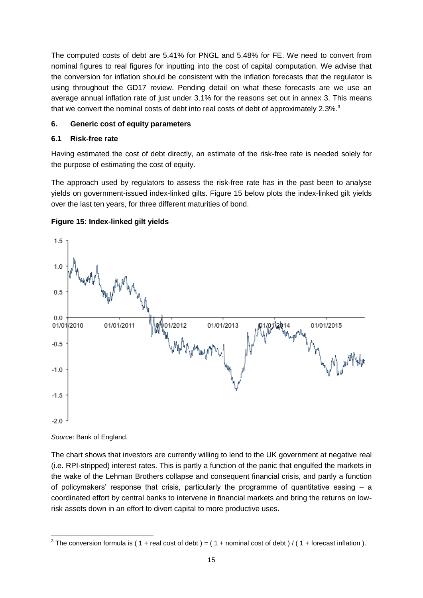The computed costs of debt are 5.41% for PNGL and 5.48% for FE. We need to convert from nominal figures to real figures for inputting into the cost of capital computation. We advise that the conversion for inflation should be consistent with the inflation forecasts that the regulator is using throughout the GD17 review. Pending detail on what these forecasts are we use an average annual inflation rate of just under 3.1% for the reasons set out in annex 3. This means that we convert the nominal costs of debt into real costs of debt of approximately 2.3%.<sup>3</sup>

# **6. Generic cost of equity parameters**

# **6.1 Risk-free rate**

Having estimated the cost of debt directly, an estimate of the risk-free rate is needed solely for the purpose of estimating the cost of equity.

The approach used by regulators to assess the risk-free rate has in the past been to analyse yields on government-issued index-linked gilts. Figure 15 below plots the index-linked gilt yields over the last ten years, for three different maturities of bond.



# **Figure 15: Index-linked gilt yields**

*Source*: Bank of England.

The chart shows that investors are currently willing to lend to the UK government at negative real (i.e. RPI-stripped) interest rates. This is partly a function of the panic that engulfed the markets in the wake of the Lehman Brothers collapse and consequent financial crisis, and partly a function of policymakers' response that crisis, particularly the programme of quantitative easing  $-$  a coordinated effort by central banks to intervene in financial markets and bring the returns on lowrisk assets down in an effort to divert capital to more productive uses.

 3 The conversion formula is ( 1 + real cost of debt ) = ( 1 + nominal cost of debt ) / ( 1 + forecast inflation ).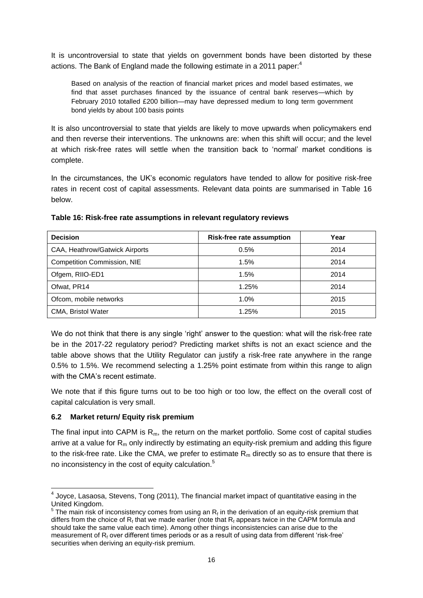It is uncontroversial to state that yields on government bonds have been distorted by these actions. The Bank of England made the following estimate in a 2011 paper:<sup>4</sup>

Based on analysis of the reaction of financial market prices and model based estimates, we find that asset purchases financed by the issuance of central bank reserves—which by February 2010 totalled £200 billion—may have depressed medium to long term government bond yields by about 100 basis points

It is also uncontroversial to state that yields are likely to move upwards when policymakers end and then reverse their interventions. The unknowns are: when this shift will occur; and the level at which risk-free rates will settle when the transition back to 'normal' market conditions is complete.

In the circumstances, the UK's economic regulators have tended to allow for positive risk-free rates in recent cost of capital assessments. Relevant data points are summarised in Table 16 below.

| <b>Decision</b>                    | Risk-free rate assumption | Year |  |
|------------------------------------|---------------------------|------|--|
| CAA, Heathrow/Gatwick Airports     | 0.5%                      | 2014 |  |
| <b>Competition Commission, NIE</b> | 1.5%                      | 2014 |  |
| Ofgem, RIIO-ED1                    | 1.5%                      | 2014 |  |
| Ofwat, PR14                        | 1.25%                     | 2014 |  |
| Ofcom, mobile networks             | 1.0%                      | 2015 |  |
| CMA, Bristol Water                 | 1.25%                     | 2015 |  |

#### **Table 16: Risk-free rate assumptions in relevant regulatory reviews**

We do not think that there is any single 'right' answer to the question: what will the risk-free rate be in the 2017-22 regulatory period? Predicting market shifts is not an exact science and the table above shows that the Utility Regulator can justify a risk-free rate anywhere in the range 0.5% to 1.5%. We recommend selecting a 1.25% point estimate from within this range to align with the CMA's recent estimate.

We note that if this figure turns out to be too high or too low, the effect on the overall cost of capital calculation is very small.

# **6.2 Market return/ Equity risk premium**

The final input into CAPM is Rm, the return on the market portfolio. Some cost of capital studies arrive at a value for  $R_m$  only indirectly by estimating an equity-risk premium and adding this figure to the risk-free rate. Like the CMA, we prefer to estimate  $R_m$  directly so as to ensure that there is no inconsistency in the cost of equity calculation.<sup>5</sup>

\_\_\_\_\_\_\_\_\_\_\_\_\_\_\_\_\_\_\_\_\_\_\_\_\_\_\_\_\_\_\_\_\_\_\_<br><sup>4</sup> Joyce, Lasaosa, Stevens, Tong (2011), The financial market impact of quantitative easing in the United Kingdom.

 $5$  The main risk of inconsistency comes from using an  $R_f$  in the derivation of an equity-risk premium that differs from the choice of  $R_f$  that we made earlier (note that  $R_f$  appears twice in the CAPM formula and should take the same value each time). Among other things inconsistencies can arise due to the measurement of  $R_f$  over different times periods or as a result of using data from different 'risk-free' securities when deriving an equity-risk premium.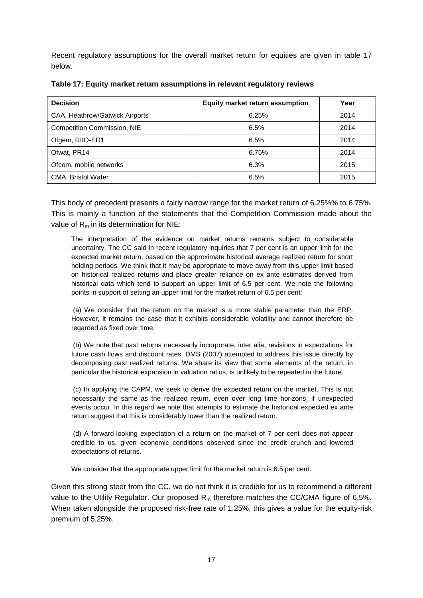Recent regulatory assumptions for the overall market return for equities are given in table 17 below.

| <b>Decision</b>                    | <b>Equity market return assumption</b> | Year |
|------------------------------------|----------------------------------------|------|
| CAA, Heathrow/Gatwick Airports     | 6.25%                                  | 2014 |
| <b>Competition Commission, NIE</b> | 6.5%                                   | 2014 |
| Ofgem, RIIO-ED1                    | 6.5%                                   | 2014 |
| Ofwat, PR14                        | 6.75%                                  | 2014 |
| Ofcom, mobile networks             | 6.3%                                   | 2015 |
| CMA, Bristol Water                 | 6.5%                                   | 2015 |

**Table 17: Equity market return assumptions in relevant regulatory reviews**

This body of precedent presents a fairly narrow range for the market return of 6.25%% to 6.75%. This is mainly a function of the statements that the Competition Commission made about the value of  $R_m$  in its determination for NIE:

The interpretation of the evidence on market returns remains subject to considerable uncertainty. The CC said in recent regulatory inquiries that 7 per cent is an upper limit for the expected market return, based on the approximate historical average realized return for short holding periods. We think that it may be appropriate to move away from this upper limit based on historical realized returns and place greater reliance on ex ante estimates derived from historical data which tend to support an upper limit of 6.5 per cent. We note the following points in support of setting an upper limit for the market return of 6.5 per cent:

(a) We consider that the return on the market is a more stable parameter than the ERP. However, it remains the case that it exhibits considerable volatility and cannot therefore be regarded as fixed over time.

(b) We note that past returns necessarily incorporate, inter alia, revisions in expectations for future cash flows and discount rates. DMS (2007) attempted to address this issue directly by decomposing past realized returns. We share its view that some elements of the return, in particular the historical expansion in valuation ratios, is unlikely to be repeated in the future.

(c) In applying the CAPM, we seek to derive the expected return on the market. This is not necessarily the same as the realized return, even over long time horizons, if unexpected events occur. In this regard we note that attempts to estimate the historical expected ex ante return suggest that this is considerably lower than the realized return.

(d) A forward-looking expectation of a return on the market of 7 per cent does not appear credible to us, given economic conditions observed since the credit crunch and lowered expectations of returns.

We consider that the appropriate upper limit for the market return is 6.5 per cent.

Given this strong steer from the CC, we do not think it is credible for us to recommend a different value to the Utility Regulator. Our proposed  $R_m$  therefore matches the CC/CMA figure of 6.5%. When taken alongside the proposed risk-free rate of 1.25%, this gives a value for the equity-risk premium of 5.25%.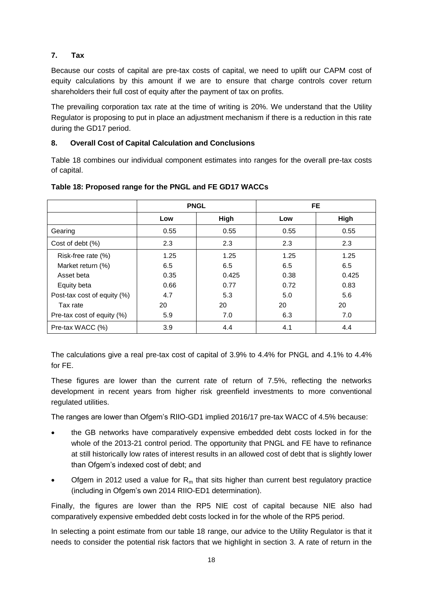# **7. Tax**

Because our costs of capital are pre-tax costs of capital, we need to uplift our CAPM cost of equity calculations by this amount if we are to ensure that charge controls cover return shareholders their full cost of equity after the payment of tax on profits.

The prevailing corporation tax rate at the time of writing is 20%. We understand that the Utility Regulator is proposing to put in place an adjustment mechanism if there is a reduction in this rate during the GD17 period.

# **8. Overall Cost of Capital Calculation and Conclusions**

Table 18 combines our individual component estimates into ranges for the overall pre-tax costs of capital.

|                             | <b>PNGL</b> |       |      | FE.   |
|-----------------------------|-------------|-------|------|-------|
|                             | Low         | High  | Low  | High  |
| Gearing                     | 0.55        | 0.55  | 0.55 | 0.55  |
| Cost of debt (%)            | 2.3         | 2.3   | 2.3  | 2.3   |
| Risk-free rate (%)          | 1.25        | 1.25  | 1.25 | 1.25  |
| Market return (%)           | 6.5         | 6.5   | 6.5  | 6.5   |
| Asset beta                  | 0.35        | 0.425 | 0.38 | 0.425 |
| Equity beta                 | 0.66        | 0.77  | 0.72 | 0.83  |
| Post-tax cost of equity (%) | 4.7         | 5.3   | 5.0  | 5.6   |
| Tax rate                    | 20          | 20    | 20   | 20    |
| Pre-tax cost of equity (%)  | 5.9         | 7.0   | 6.3  | 7.0   |
| Pre-tax WACC (%)            | 3.9         | 4.4   | 4.1  | 4.4   |

# **Table 18: Proposed range for the PNGL and FE GD17 WACCs**

The calculations give a real pre-tax cost of capital of 3.9% to 4.4% for PNGL and 4.1% to 4.4% for FE.

These figures are lower than the current rate of return of 7.5%, reflecting the networks development in recent years from higher risk greenfield investments to more conventional regulated utilities.

The ranges are lower than Ofgem's RIIO-GD1 implied 2016/17 pre-tax WACC of 4.5% because:

- the GB networks have comparatively expensive embedded debt costs locked in for the whole of the 2013-21 control period. The opportunity that PNGL and FE have to refinance at still historically low rates of interest results in an allowed cost of debt that is slightly lower than Ofgem's indexed cost of debt; and
- Ofgem in 2012 used a value for  $R_m$  that sits higher than current best regulatory practice (including in Ofgem's own 2014 RIIO-ED1 determination).

Finally, the figures are lower than the RP5 NIE cost of capital because NIE also had comparatively expensive embedded debt costs locked in for the whole of the RP5 period.

In selecting a point estimate from our table 18 range, our advice to the Utility Regulator is that it needs to consider the potential risk factors that we highlight in section 3. A rate of return in the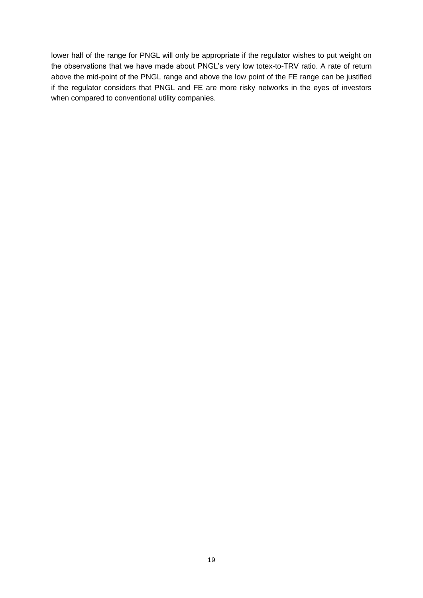lower half of the range for PNGL will only be appropriate if the regulator wishes to put weight on the observations that we have made about PNGL's very low totex-to-TRV ratio. A rate of return above the mid-point of the PNGL range and above the low point of the FE range can be justified if the regulator considers that PNGL and FE are more risky networks in the eyes of investors when compared to conventional utility companies.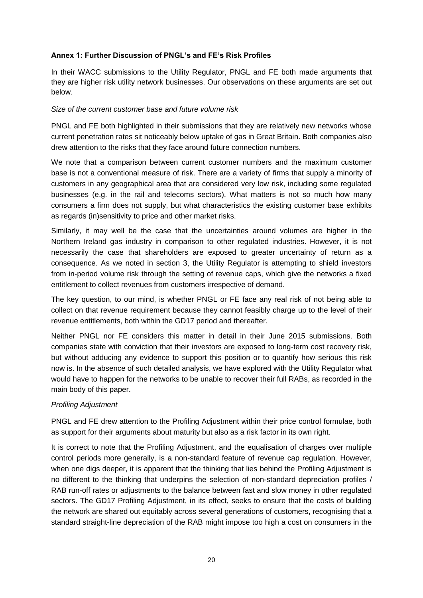# **Annex 1: Further Discussion of PNGL's and FE's Risk Profiles**

In their WACC submissions to the Utility Regulator, PNGL and FE both made arguments that they are higher risk utility network businesses. Our observations on these arguments are set out below.

#### *Size of the current customer base and future volume risk*

PNGL and FE both highlighted in their submissions that they are relatively new networks whose current penetration rates sit noticeably below uptake of gas in Great Britain. Both companies also drew attention to the risks that they face around future connection numbers.

We note that a comparison between current customer numbers and the maximum customer base is not a conventional measure of risk. There are a variety of firms that supply a minority of customers in any geographical area that are considered very low risk, including some regulated businesses (e.g. in the rail and telecoms sectors). What matters is not so much how many consumers a firm does not supply, but what characteristics the existing customer base exhibits as regards (in)sensitivity to price and other market risks.

Similarly, it may well be the case that the uncertainties around volumes are higher in the Northern Ireland gas industry in comparison to other regulated industries. However, it is not necessarily the case that shareholders are exposed to greater uncertainty of return as a consequence. As we noted in section 3, the Utility Regulator is attempting to shield investors from in-period volume risk through the setting of revenue caps, which give the networks a fixed entitlement to collect revenues from customers irrespective of demand.

The key question, to our mind, is whether PNGL or FE face any real risk of not being able to collect on that revenue requirement because they cannot feasibly charge up to the level of their revenue entitlements, both within the GD17 period and thereafter.

Neither PNGL nor FE considers this matter in detail in their June 2015 submissions. Both companies state with conviction that their investors are exposed to long-term cost recovery risk, but without adducing any evidence to support this position or to quantify how serious this risk now is. In the absence of such detailed analysis, we have explored with the Utility Regulator what would have to happen for the networks to be unable to recover their full RABs, as recorded in the main body of this paper.

# *Profiling Adjustment*

PNGL and FE drew attention to the Profiling Adjustment within their price control formulae, both as support for their arguments about maturity but also as a risk factor in its own right.

It is correct to note that the Profiling Adjustment, and the equalisation of charges over multiple control periods more generally, is a non-standard feature of revenue cap regulation. However, when one digs deeper, it is apparent that the thinking that lies behind the Profiling Adjustment is no different to the thinking that underpins the selection of non-standard depreciation profiles / RAB run-off rates or adjustments to the balance between fast and slow money in other regulated sectors. The GD17 Profiling Adjustment, in its effect, seeks to ensure that the costs of building the network are shared out equitably across several generations of customers, recognising that a standard straight-line depreciation of the RAB might impose too high a cost on consumers in the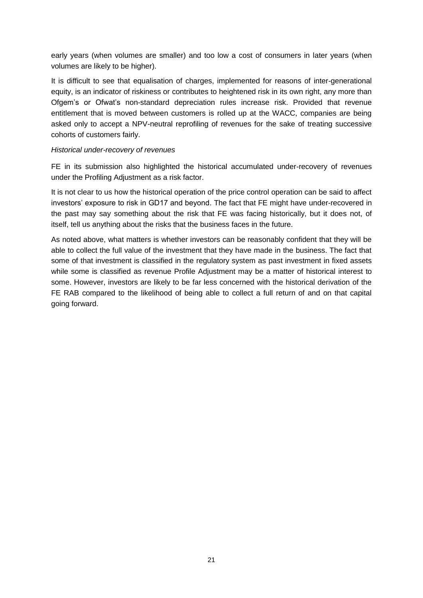early years (when volumes are smaller) and too low a cost of consumers in later years (when volumes are likely to be higher).

It is difficult to see that equalisation of charges, implemented for reasons of inter-generational equity, is an indicator of riskiness or contributes to heightened risk in its own right, any more than Ofgem's or Ofwat's non-standard depreciation rules increase risk. Provided that revenue entitlement that is moved between customers is rolled up at the WACC, companies are being asked only to accept a NPV-neutral reprofiling of revenues for the sake of treating successive cohorts of customers fairly.

#### *Historical under-recovery of revenues*

FE in its submission also highlighted the historical accumulated under-recovery of revenues under the Profiling Adjustment as a risk factor.

It is not clear to us how the historical operation of the price control operation can be said to affect investors' exposure to risk in GD17 and beyond. The fact that FE might have under-recovered in the past may say something about the risk that FE was facing historically, but it does not, of itself, tell us anything about the risks that the business faces in the future.

As noted above, what matters is whether investors can be reasonably confident that they will be able to collect the full value of the investment that they have made in the business. The fact that some of that investment is classified in the regulatory system as past investment in fixed assets while some is classified as revenue Profile Adjustment may be a matter of historical interest to some. However, investors are likely to be far less concerned with the historical derivation of the FE RAB compared to the likelihood of being able to collect a full return of and on that capital going forward.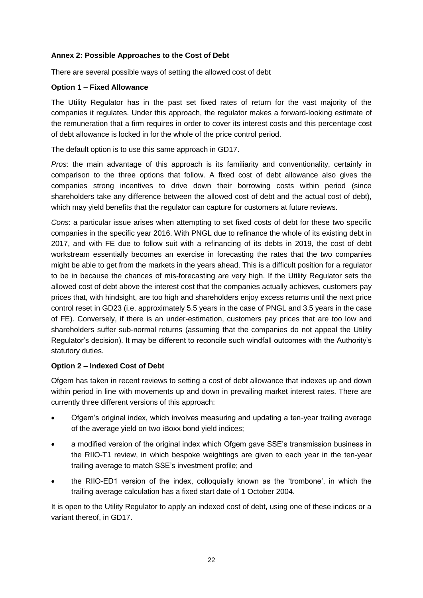# **Annex 2: Possible Approaches to the Cost of Debt**

There are several possible ways of setting the allowed cost of debt

#### **Option 1 – Fixed Allowance**

The Utility Regulator has in the past set fixed rates of return for the vast majority of the companies it regulates. Under this approach, the regulator makes a forward-looking estimate of the remuneration that a firm requires in order to cover its interest costs and this percentage cost of debt allowance is locked in for the whole of the price control period.

The default option is to use this same approach in GD17.

*Pros*: the main advantage of this approach is its familiarity and conventionality, certainly in comparison to the three options that follow. A fixed cost of debt allowance also gives the companies strong incentives to drive down their borrowing costs within period (since shareholders take any difference between the allowed cost of debt and the actual cost of debt), which may yield benefits that the regulator can capture for customers at future reviews.

*Cons*: a particular issue arises when attempting to set fixed costs of debt for these two specific companies in the specific year 2016. With PNGL due to refinance the whole of its existing debt in 2017, and with FE due to follow suit with a refinancing of its debts in 2019, the cost of debt workstream essentially becomes an exercise in forecasting the rates that the two companies might be able to get from the markets in the years ahead. This is a difficult position for a regulator to be in because the chances of mis-forecasting are very high. If the Utility Regulator sets the allowed cost of debt above the interest cost that the companies actually achieves, customers pay prices that, with hindsight, are too high and shareholders enjoy excess returns until the next price control reset in GD23 (i.e. approximately 5.5 years in the case of PNGL and 3.5 years in the case of FE). Conversely, if there is an under-estimation, customers pay prices that are too low and shareholders suffer sub-normal returns (assuming that the companies do not appeal the Utility Regulator's decision). It may be different to reconcile such windfall outcomes with the Authority's statutory duties.

# **Option 2 – Indexed Cost of Debt**

Ofgem has taken in recent reviews to setting a cost of debt allowance that indexes up and down within period in line with movements up and down in prevailing market interest rates. There are currently three different versions of this approach:

- Ofgem's original index, which involves measuring and updating a ten-year trailing average of the average yield on two iBoxx bond yield indices;
- a modified version of the original index which Ofgem gave SSE's transmission business in the RIIO-T1 review, in which bespoke weightings are given to each year in the ten-year trailing average to match SSE's investment profile; and
- the RIIO-ED1 version of the index, colloquially known as the 'trombone', in which the trailing average calculation has a fixed start date of 1 October 2004.

It is open to the Utility Regulator to apply an indexed cost of debt, using one of these indices or a variant thereof, in GD17.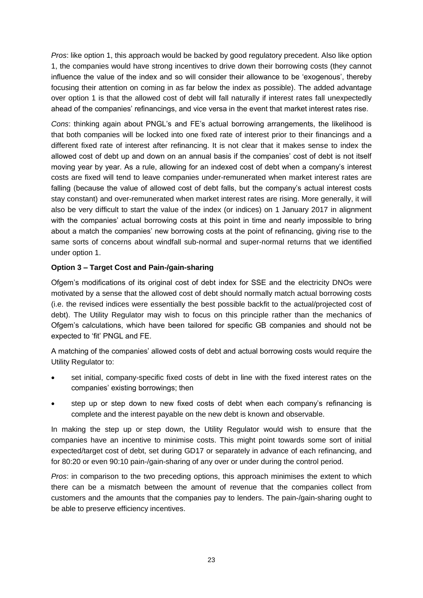*Pros*: like option 1, this approach would be backed by good regulatory precedent. Also like option 1, the companies would have strong incentives to drive down their borrowing costs (they cannot influence the value of the index and so will consider their allowance to be 'exogenous', thereby focusing their attention on coming in as far below the index as possible). The added advantage over option 1 is that the allowed cost of debt will fall naturally if interest rates fall unexpectedly ahead of the companies' refinancings, and vice versa in the event that market interest rates rise.

*Cons*: thinking again about PNGL's and FE's actual borrowing arrangements, the likelihood is that both companies will be locked into one fixed rate of interest prior to their financings and a different fixed rate of interest after refinancing. It is not clear that it makes sense to index the allowed cost of debt up and down on an annual basis if the companies' cost of debt is not itself moving year by year. As a rule, allowing for an indexed cost of debt when a company's interest costs are fixed will tend to leave companies under-remunerated when market interest rates are falling (because the value of allowed cost of debt falls, but the company's actual interest costs stay constant) and over-remunerated when market interest rates are rising. More generally, it will also be very difficult to start the value of the index (or indices) on 1 January 2017 in alignment with the companies' actual borrowing costs at this point in time and nearly impossible to bring about a match the companies' new borrowing costs at the point of refinancing, giving rise to the same sorts of concerns about windfall sub-normal and super-normal returns that we identified under option 1.

# **Option 3 – Target Cost and Pain-/gain-sharing**

Ofgem's modifications of its original cost of debt index for SSE and the electricity DNOs were motivated by a sense that the allowed cost of debt should normally match actual borrowing costs (i.e. the revised indices were essentially the best possible backfit to the actual/projected cost of debt). The Utility Regulator may wish to focus on this principle rather than the mechanics of Ofgem's calculations, which have been tailored for specific GB companies and should not be expected to 'fit' PNGL and FE.

A matching of the companies' allowed costs of debt and actual borrowing costs would require the Utility Regulator to:

- set initial, company-specific fixed costs of debt in line with the fixed interest rates on the companies' existing borrowings; then
- step up or step down to new fixed costs of debt when each company's refinancing is complete and the interest payable on the new debt is known and observable.

In making the step up or step down, the Utility Regulator would wish to ensure that the companies have an incentive to minimise costs. This might point towards some sort of initial expected/target cost of debt, set during GD17 or separately in advance of each refinancing, and for 80:20 or even 90:10 pain-/gain-sharing of any over or under during the control period.

*Pros*: in comparison to the two preceding options, this approach minimises the extent to which there can be a mismatch between the amount of revenue that the companies collect from customers and the amounts that the companies pay to lenders. The pain-/gain-sharing ought to be able to preserve efficiency incentives.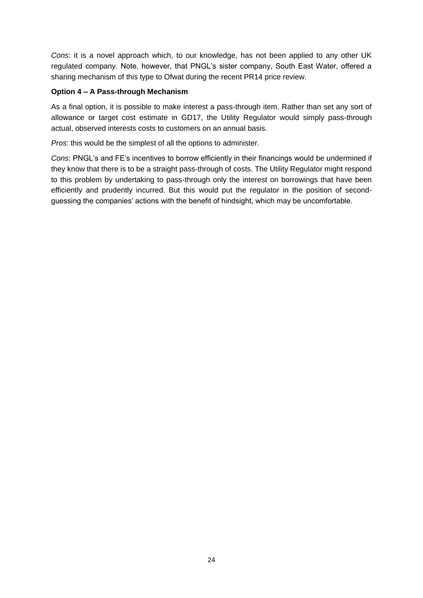*Cons*: it is a novel approach which, to our knowledge, has not been applied to any other UK regulated company. Note, however, that PNGL's sister company, South East Water, offered a sharing mechanism of this type to Ofwat during the recent PR14 price review.

# **Option 4 – A Pass-through Mechanism**

As a final option, it is possible to make interest a pass-through item. Rather than set any sort of allowance or target cost estimate in GD17, the Utility Regulator would simply pass-through actual, observed interests costs to customers on an annual basis.

*Pros*: this would be the simplest of all the options to administer.

*Cons*: PNGL's and FE's incentives to borrow efficiently in their financings would be undermined if they know that there is to be a straight pass-through of costs. The Utility Regulator might respond to this problem by undertaking to pass-through only the interest on borrowings that have been efficiently and prudently incurred. But this would put the regulator in the position of secondguessing the companies' actions with the benefit of hindsight, which may be uncomfortable.